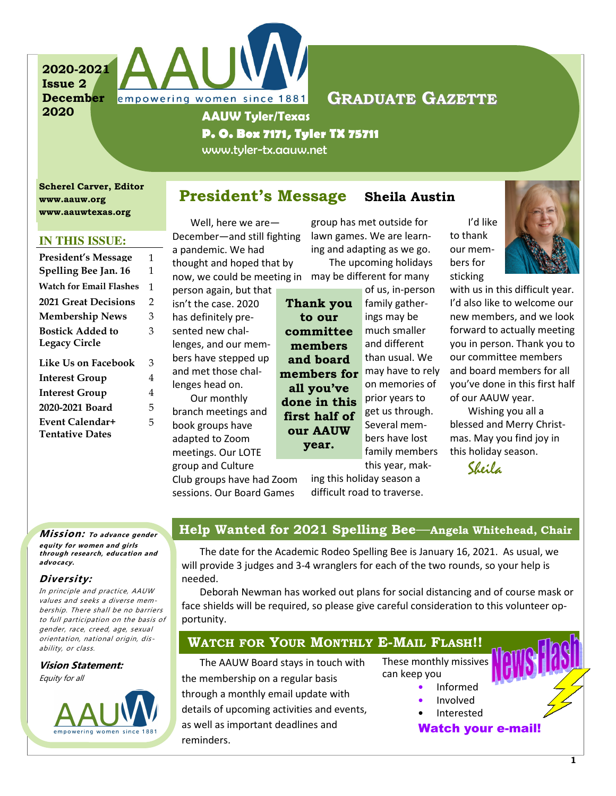2020-2021 Issue 2 December 2020



AAUW Tyler/Texas

P. O. Box 7171, Tyler TX 75711

www.tyler-tx.aauw.net

Scherel Carver, Editor www.aauw.org www.aauwtexas.org

### **IN THIS ISSUE:**

| <b>President's Message</b>     | 1              |
|--------------------------------|----------------|
| Spelling Bee Jan. 16           | 1              |
| <b>Watch for Email Flashes</b> | 1              |
| <b>2021 Great Decisions</b>    | $\overline{2}$ |
| <b>Membership News</b>         | 3              |
| <b>Bostick Added to</b>        | 3              |
| <b>Legacy Circle</b>           |                |
| Like Us on Facebook            | 3              |
| <b>Interest Group</b>          | 4              |
| <b>Interest Group</b>          | 4              |
| 2020-2021 Board                | 5              |
| Event Calendar+                | 5              |
| <b>Tentative Dates</b>         |                |

# President's Message Sheila Austin

Thank you to our committee members and board

all you've

our AAUW year.

Well, here we are— December—and still fighting a pandemic. We had thought and hoped that by now, we could be meeting in may be different for many

empowering women since 1881

person again, but that isn't the case. 2020 has definitely presented new challenges, and our members have stepped up and met those challenges head on. Our monthly

branch meetings and book groups have adapted to Zoom meetings. Our LOTE

group and Culture

group has met outside for lawn games. We are learning and adapting as we go.

The upcoming holidays

of us, in-person family gatherings may be much smaller and different than usual. We members for may have to rely on memories of prior years to get us through. Several members have lost family members this year, makdone in this first half of

I'd like to thank our members for sticking



with us in this difficult year. I'd also like to welcome our new members, and we look forward to actually meeting you in person. Thank you to our committee members and board members for all you've done in this first half of our AAUW year.

Wishing you all a blessed and Merry Christmas. May you find joy in this holiday season.

Sheila

Club groups have had Zoom sessions. Our Board Games

ing this holiday season a difficult road to traverse.

#### **Mission:** To advance gender equity for women and girls through research, education and advocacy.

### Diversity:

In principle and practice, AAUW values and seeks a diverse membership. There shall be no barriers to full participation on the basis of gender, race, creed, age, sexual orientation, national origin, disability, or class.

Vision Statement: Equity for all



# Help Wanted for 2021 Spelling Bee—Angela Whitehead, Chair

The date for the Academic Rodeo Spelling Bee is January 16, 2021. As usual, we will provide 3 judges and 3-4 wranglers for each of the two rounds, so your help is needed.

Deborah Newman has worked out plans for social distancing and of course mask or face shields will be required, so please give careful consideration to this volunteer opportunity.

## WATCH FOR YOUR MONTHLY E-MAIL FLASH!!

The AAUW Board stays in touch with the membership on a regular basis through a monthly email update with details of upcoming activities and events, as well as important deadlines and reminders.

These monthly missives can keep you

- Informed
	- Involved
		- **Interested**

Watch your e-mail!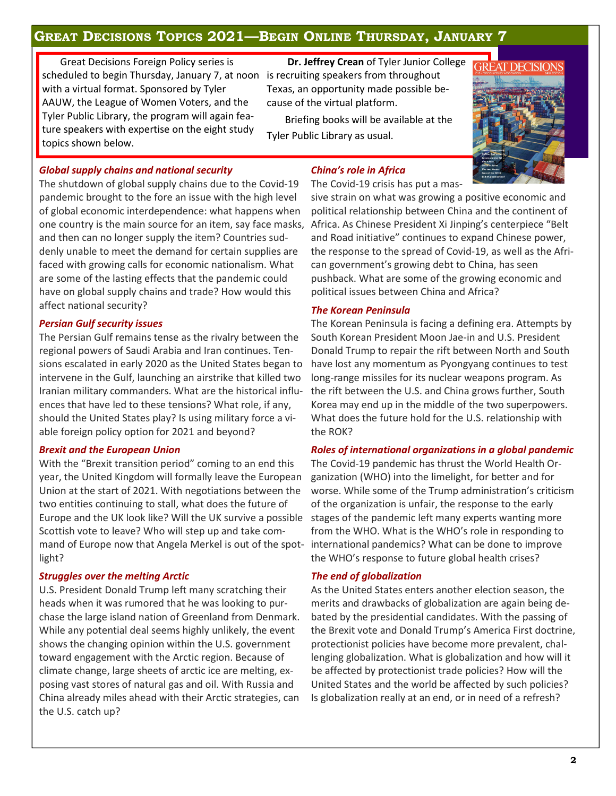# GREAT DECISIONS TOPICS 2021—BEGIN ONLINE THURSDAY, JANUARY 7

Great Decisions Foreign Policy series is scheduled to begin Thursday, January 7, at noon is recruiting speakers from throughout with a virtual format. Sponsored by Tyler AAUW, the League of Women Voters, and the Tyler Public Library, the program will again feature speakers with expertise on the eight study topics shown below.

# Dr. Jeffrey Crean of Tyler Junior College Texas, an opportunity made possible because of the virtual platform.

Briefing books will be available at the Tyler Public Library as usual.



### Global supply chains and national security

The shutdown of global supply chains due to the Covid-19 pandemic brought to the fore an issue with the high level of global economic interdependence: what happens when one country is the main source for an item, say face masks, and then can no longer supply the item? Countries suddenly unable to meet the demand for certain supplies are faced with growing calls for economic nationalism. What are some of the lasting effects that the pandemic could have on global supply chains and trade? How would this affect national security?

#### Persian Gulf security issues

The Persian Gulf remains tense as the rivalry between the regional powers of Saudi Arabia and Iran continues. Tensions escalated in early 2020 as the United States began to intervene in the Gulf, launching an airstrike that killed two Iranian military commanders. What are the historical influences that have led to these tensions? What role, if any, should the United States play? Is using military force a viable foreign policy option for 2021 and beyond?

#### Brexit and the European Union

With the "Brexit transition period" coming to an end this year, the United Kingdom will formally leave the European Union at the start of 2021. With negotiations between the two entities continuing to stall, what does the future of Europe and the UK look like? Will the UK survive a possible Scottish vote to leave? Who will step up and take command of Europe now that Angela Merkel is out of the spot-international pandemics? What can be done to improve light?

#### Struggles over the melting Arctic

U.S. President Donald Trump left many scratching their heads when it was rumored that he was looking to purchase the large island nation of Greenland from Denmark. While any potential deal seems highly unlikely, the event shows the changing opinion within the U.S. government toward engagement with the Arctic region. Because of climate change, large sheets of arctic ice are melting, exposing vast stores of natural gas and oil. With Russia and China already miles ahead with their Arctic strategies, can the U.S. catch up?

### China's role in Africa

The Covid-19 crisis has put a mas-

sive strain on what was growing a positive economic and political relationship between China and the continent of Africa. As Chinese President Xi Jinping's centerpiece "Belt and Road initiative" continues to expand Chinese power, the response to the spread of Covid-19, as well as the African government's growing debt to China, has seen pushback. What are some of the growing economic and political issues between China and Africa?

#### The Korean Peninsula

The Korean Peninsula is facing a defining era. Attempts by South Korean President Moon Jae-in and U.S. President Donald Trump to repair the rift between North and South have lost any momentum as Pyongyang continues to test long-range missiles for its nuclear weapons program. As the rift between the U.S. and China grows further, South Korea may end up in the middle of the two superpowers. What does the future hold for the U.S. relationship with the ROK?

#### Roles of international organizations in a global pandemic

The Covid-19 pandemic has thrust the World Health Organization (WHO) into the limelight, for better and for worse. While some of the Trump administration's criticism of the organization is unfair, the response to the early stages of the pandemic left many experts wanting more from the WHO. What is the WHO's role in responding to the WHO's response to future global health crises?

#### The end of globalization

As the United States enters another election season, the merits and drawbacks of globalization are again being debated by the presidential candidates. With the passing of the Brexit vote and Donald Trump's America First doctrine, protectionist policies have become more prevalent, challenging globalization. What is globalization and how will it be affected by protectionist trade policies? How will the United States and the world be affected by such policies? Is globalization really at an end, or in need of a refresh?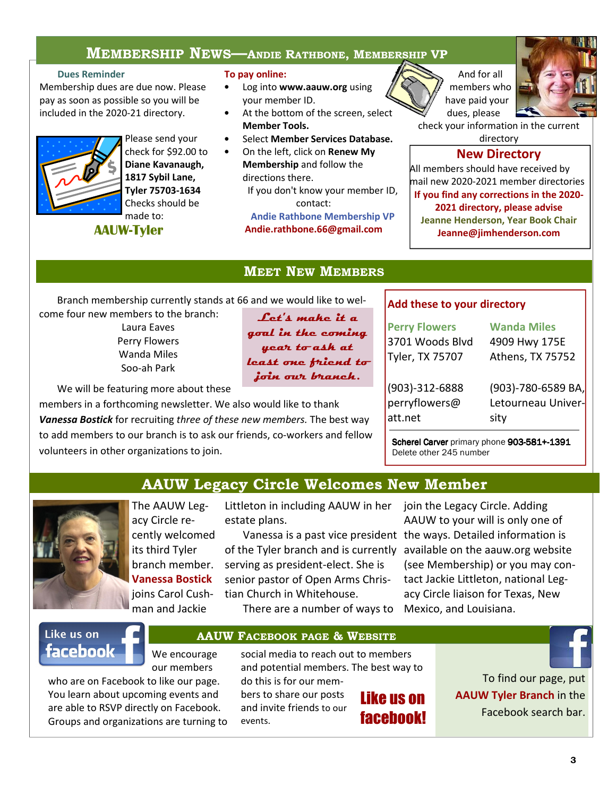# MEMBERSHIP NEWS—ANDIE RATHBONE, MEMBERSHIP VP

### Dues Reminder

Membership dues are due now. Please pay as soon as possible so you will be included in the 2020-21 directory.



Please send your check for \$92.00 to Diane Kavanaugh, 1817 Sybil Lane, Tyler 75703-1634 Checks should be made to:

# AAUW-Tyler

To pay online:

- Log into www.aauw.org using your member ID.
- At the bottom of the screen, select Member Tools.
- Select Member Services Database.
- On the left, click on Renew My Membership and follow the directions there. If you don't know your member ID,

contact:

Andie Rathbone Membership VP Andie.rathbone.66@gmail.com



check your information in the current directory

## New Directory

All members should have received by mail new 2020-2021 member directories If you find any corrections in the 2020- 2021 directory, please advise Jeanne Henderson, Year Book Chair Jeanne@jimhenderson.com

## MEET NEW MEMBERS

Branch membership currently stands at 66 and we would like to wel-

come four new members to the branch: Laura Eaves Perry Flowers Wanda Miles Soo-ah Park

Let's make it a goal in the coming year to ask at least one friend to join our branch.

We will be featuring more about these

members in a forthcoming newsletter. We also would like to thank Vanessa Bostick for recruiting three of these new members. The best way to add members to our branch is to ask our friends, co-workers and fellow volunteers in other organizations to join.

### Add these to your directory

| <b>Perry Flowers</b> | <b>Wanda Miles</b>    |
|----------------------|-----------------------|
| 3701 Woods Blvd      | 4909 Hwy 175E         |
| Tyler, TX 75707      | Athens, TX 75752      |
| (903)-312-6888       | $(903)$ -780-6589 BA, |
| perryflowers@        | Letourneau Univer-    |
| att.net              | sity                  |

Scherel Carver primary phone 903-581+-1391 Delete other 245 number

# AAUW Legacy Circle Welcomes New Member



The AAUW Legacy Circle recently welcomed its third Tyler branch member. Vanessa Bostick joins Carol Cushman and Jackie

Littleton in including AAUW in her join the Legacy Circle. Adding estate plans.

serving as president-elect. She is senior pastor of Open Arms Christian Church in Whitehouse.

There are a number of ways to Mexico, and Louisiana.

Vanessa is a past vice president the ways. Detailed information is of the Tyler branch and is currently available on the aauw.org website AAUW to your will is only one of (see Membership) or you may contact Jackie Littleton, national Legacy Circle liaison for Texas, New

# Like us on **facebook**

We encourage our members

who are on Facebook to like our page. You learn about upcoming events and are able to RSVP directly on Facebook. Groups and organizations are turning to

social media to reach out to members and potential members. The best way to do this is for our mem-

bers to share our posts and invite friends to our events.

AAUW FACEBOOK PAGE & WEBSITE

# Like us on facebook!

To find our page, put AAUW Tyler Branch in the Facebook search bar.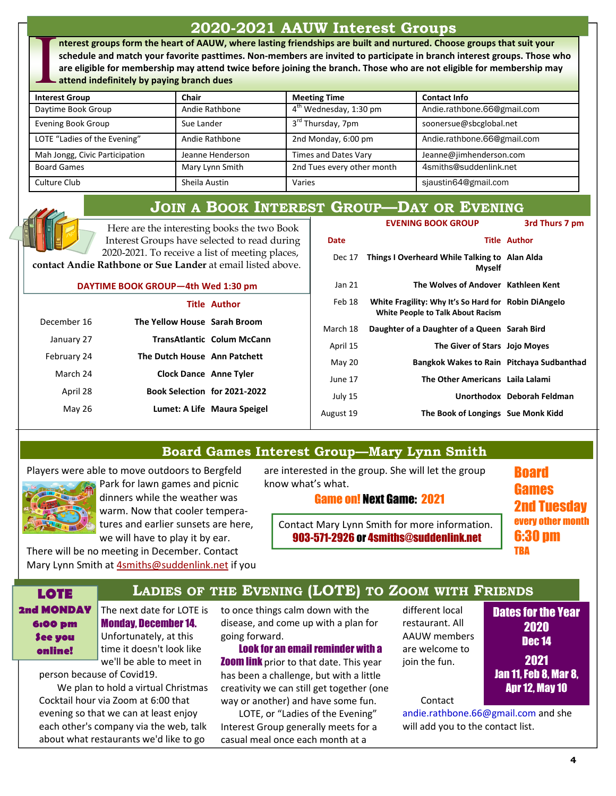# 2020-2021 AAUW Interest Groups

nterest groups form the heart of AAUW, where lasting friendships are built and nurtured. Choose groups that suit your schedule and match your favorite pasttimes. Non-members are invited to participate in branch interest groups. Those who are eligible for membership may attend twice before joining the branch. Those who are not eligible for membership may attend indefinitely by paying branch dues

| <b>Interest Group</b>          | Chair            | <b>Meeting Time</b>                | <b>Contact Info</b>         |
|--------------------------------|------------------|------------------------------------|-----------------------------|
| Daytime Book Group             | Andie Rathbone   | 4 <sup>th</sup> Wednesday, 1:30 pm | Andie.rathbone.66@gmail.com |
| <b>Evening Book Group</b>      | Sue Lander       | 3 <sup>rd</sup> Thursday, 7pm      | soonersue@sbcglobal.net     |
| LOTE "Ladies of the Evening"   | Andie Rathbone   | 2nd Monday, 6:00 pm                | Andie.rathbone.66@gmail.com |
| Mah Jongg, Civic Participation | Jeanne Henderson | Times and Dates Vary               | Jeanne@jimhenderson.com     |
| <b>Board Games</b>             | Mary Lynn Smith  | 2nd Tues every other month         | 4smiths@suddenlink.net      |
| Culture Club                   | Sheila Austin    | Varies                             | sjaustin64@gmail.com        |

# JOIN A BOOK INTEREST GROUP—DAY OR EVENING

Here are the interesting books the two Book Interest Groups have selected to read during 2020-2021. To receive a list of meeting places,

contact Andie Rathbone or Sue Lander at email listed above.

#### DAYTIME BOOK GROUP—4th Wed 1:30 pm

|             |                               | <b>Title Author</b>               |
|-------------|-------------------------------|-----------------------------------|
| December 16 | The Yellow House Sarah Broom  |                                   |
| January 27  |                               | <b>TransAtlantic Colum McCann</b> |
| February 24 | The Dutch House Ann Patchett  |                                   |
| March 24    | <b>Clock Dance Anne Tyler</b> |                                   |
| April 28    | Book Selection for 2021-2022  |                                   |
| May 26      |                               | Lumet: A Life Maura Speigel       |
|             |                               |                                   |

|           | <b>EVENING BOOK GROUP</b>                                                                        | 3rd Thurs 7 pm             |
|-----------|--------------------------------------------------------------------------------------------------|----------------------------|
| Date      |                                                                                                  | <b>Title Author</b>        |
| Dec 17    | Things I Overheard While Talking to Alan Alda<br><b>Myself</b>                                   |                            |
| Jan 21    | The Wolves of Andover Kathleen Kent                                                              |                            |
| Feb 18    | White Fragility: Why It's So Hard for Robin DiAngelo<br><b>White People to Talk About Racism</b> |                            |
| March 18  | Daughter of a Daughter of a Queen Sarah Bird                                                     |                            |
| April 15  | The Giver of Stars Jojo Moyes                                                                    |                            |
| May 20    | Bangkok Wakes to Rain Pitchaya Sudbanthad                                                        |                            |
| June 17   | The Other Americans Laila Lalami                                                                 |                            |
| July 15   |                                                                                                  | Unorthodox Deborah Feldman |
| August 19 | The Book of Longings Sue Monk Kidd                                                               |                            |
|           |                                                                                                  |                            |

## Board Games Interest Group—Mary Lynn Smith

Players were able to move outdoors to Bergfeld



Park for lawn games and picnic dinners while the weather was warm. Now that cooler temperatures and earlier sunsets are here, we will have to play it by ear.

There will be no meeting in December. Contact Mary Lynn Smith at 4smiths@suddenlink.net if you

### are interested in the group. She will let the group know what's what.

### Game on! Next Game: 2021

Board Games 2nd Tuesday every other month 6:30 pm TBA

Contact Mary Lynn Smith for more information. 903-571-2926 or 4smiths@suddenlink.net

# LOTE **LADIES OF THE EVENING (LOTE) TO ZOOM WITH FRIENDS**

2nd MONDAY 6:00 pm See you online!

The next date for LOTE is Monday, December 14. Unfortunately, at this time it doesn't look like we'll be able to meet in

person because of Covid19. We plan to hold a virtual Christmas Cocktail hour via Zoom at 6:00 that evening so that we can at least enjoy each other's company via the web, talk about what restaurants we'd like to go

to once things calm down with the disease, and come up with a plan for going forward.

Look for an email reminder with a **Zoom link** prior to that date. This year has been a challenge, but with a little creativity we can still get together (one way or another) and have some fun.

LOTE, or "Ladies of the Evening" Interest Group generally meets for a casual meal once each month at a

different local restaurant. All AAUW members are welcome to join the fun.

Dates for the Year 2020 Dec 14 2021 Jan 11, Feb 8, Mar 8, Apr 12, May 10

Contact

andie.rathbone.66@gmail.com and she will add you to the contact list.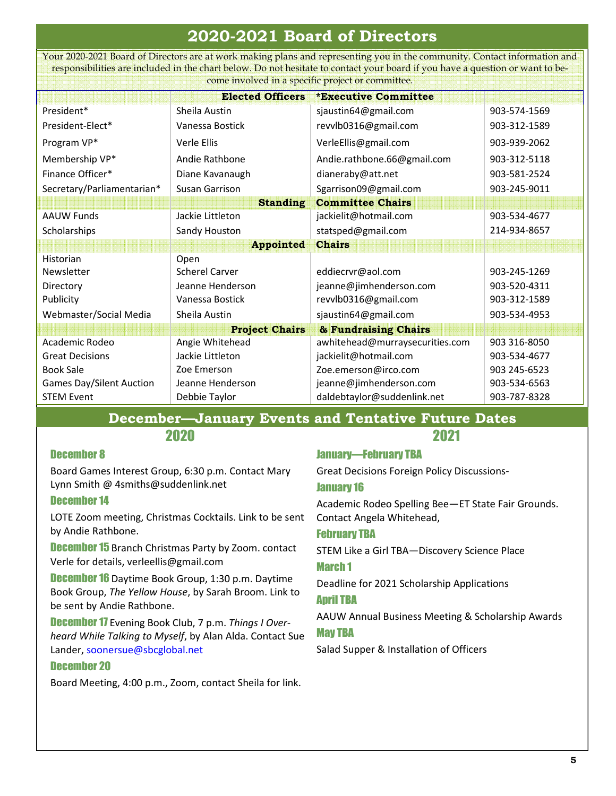# 2020-2021 Board of Directors

Your 2020-2021 Board of Directors are at work making plans and representing you in the community. Contact information and responsibilities are included in the chart below. Do not hesitate to contact your board if you have a question or want to become involved in a specific project or committee.

| <b>Elected Officers</b><br><b>*Executive Committee</b> |                       |                                 |              |  |  |
|--------------------------------------------------------|-----------------------|---------------------------------|--------------|--|--|
|                                                        |                       |                                 |              |  |  |
| President*                                             | Sheila Austin         | sjaustin64@gmail.com            | 903-574-1569 |  |  |
| President-Elect*                                       | Vanessa Bostick       | revvlb0316@gmail.com            | 903-312-1589 |  |  |
| Program VP*                                            | Verle Ellis           | VerleEllis@gmail.com            | 903-939-2062 |  |  |
| Membership VP*                                         | Andie Rathbone        | Andie.rathbone.66@gmail.com     | 903-312-5118 |  |  |
| Finance Officer*                                       | Diane Kavanaugh       | dianeraby@att.net               | 903-581-2524 |  |  |
| Secretary/Parliamentarian*                             | Susan Garrison        | Sgarrison09@gmail.com           | 903-245-9011 |  |  |
|                                                        | <b>Standing</b>       | <b>Committee Chairs</b>         |              |  |  |
| <b>AAUW Funds</b>                                      | Jackie Littleton      | jackielit@hotmail.com           | 903-534-4677 |  |  |
| Scholarships                                           | Sandy Houston         | statsped@gmail.com              | 214-934-8657 |  |  |
|                                                        | <b>Appointed</b>      | <b>Chairs</b>                   |              |  |  |
| <b>Historian</b>                                       | Open                  |                                 |              |  |  |
| Newsletter                                             | <b>Scherel Carver</b> | eddiecrvr@aol.com               | 903-245-1269 |  |  |
| Directory                                              | Jeanne Henderson      | jeanne@jimhenderson.com         | 903-520-4311 |  |  |
| Publicity                                              | Vanessa Bostick       | revvlb0316@gmail.com            | 903-312-1589 |  |  |
| Webmaster/Social Media                                 | Sheila Austin         | sjaustin64@gmail.com            | 903-534-4953 |  |  |
| <b>Project Chairs</b><br>& Fundraising Chairs          |                       |                                 |              |  |  |
| Academic Rodeo                                         | Angie Whitehead       | awhitehead@murraysecurities.com | 903 316-8050 |  |  |
| <b>Great Decisions</b>                                 | Jackie Littleton      | jackielit@hotmail.com           | 903-534-4677 |  |  |
| <b>Book Sale</b>                                       | Zoe Emerson           | Zoe.emerson@irco.com            | 903 245-6523 |  |  |
| <b>Games Day/Silent Auction</b>                        | Jeanne Henderson      | jeanne@jimhenderson.com         | 903-534-6563 |  |  |
| <b>STEM Event</b>                                      | Debbie Taylor         | daldebtaylor@suddenlink.net     | 903-787-8328 |  |  |

#### December—January Events and Tentative Future Dates 2020 2021

### December 8

Board Games Interest Group, 6:30 p.m. Contact Mary Lynn Smith @ 4smiths@suddenlink.net

### December 14

LOTE Zoom meeting, Christmas Cocktails. Link to be sent by Andie Rathbone.

**December 15** Branch Christmas Party by Zoom. contact Verle for details, verleellis@gmail.com

**December 16** Daytime Book Group, 1:30 p.m. Daytime Book Group, The Yellow House, by Sarah Broom. Link to be sent by Andie Rathbone.

**December 17** Evening Book Club, 7 p.m. Things I Overheard While Talking to Myself, by Alan Alda. Contact Sue Lander, soonersue@sbcglobal.net

### December 20

Board Meeting, 4:00 p.m., Zoom, contact Sheila for link.

### January—February TBA

Great Decisions Foreign Policy Discussions-

### January 16

Academic Rodeo Spelling Bee—ET State Fair Grounds. Contact Angela Whitehead,

### February TBA

STEM Like a Girl TBA—Discovery Science Place March 1

# Deadline for 2021 Scholarship Applications

### April TBA

AAUW Annual Business Meeting & Scholarship Awards May TBA

Salad Supper & Installation of Officers